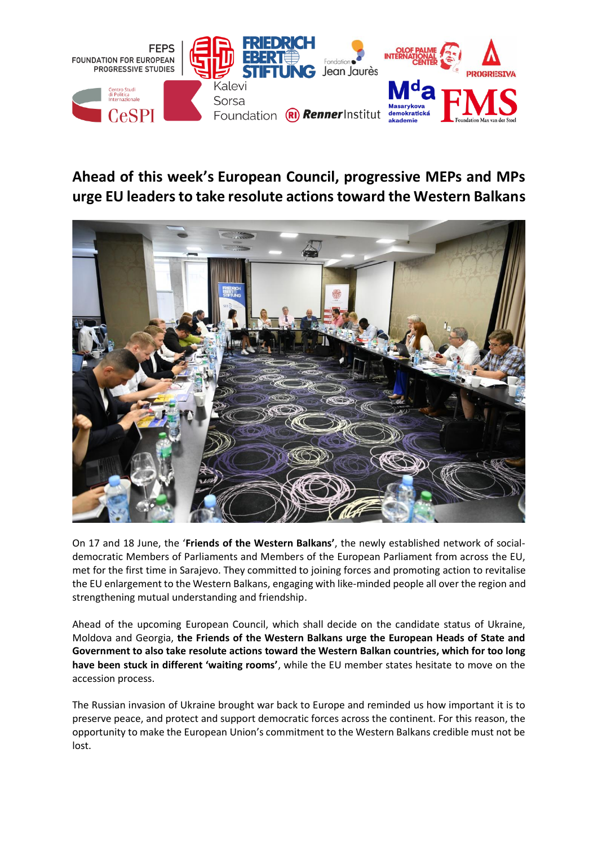

## **Ahead of this week's European Council, progressive MEPs and MPs urge EU leaders to take resolute actions toward the Western Balkans**



On 17 and 18 June, the '**Friends of the Western Balkans'**, the newly established network of socialdemocratic Members of Parliaments and Members of the European Parliament from across the EU, met for the first time in Sarajevo. They committed to joining forces and promoting action to revitalise the EU enlargement to the Western Balkans, engaging with like-minded people all over the region and strengthening mutual understanding and friendship.

Ahead of the upcoming European Council, which shall decide on the candidate status of Ukraine, Moldova and Georgia, **the Friends of the Western Balkans urge the European Heads of State and Government to also take resolute actions toward the Western Balkan countries, which for too long have been stuck in different 'waiting rooms'**, while the EU member states hesitate to move on the accession process.

The Russian invasion of Ukraine brought war back to Europe and reminded us how important it is to preserve peace, and protect and support democratic forces across the continent. For this reason, the opportunity to make the European Union's commitment to the Western Balkans credible must not be lost.